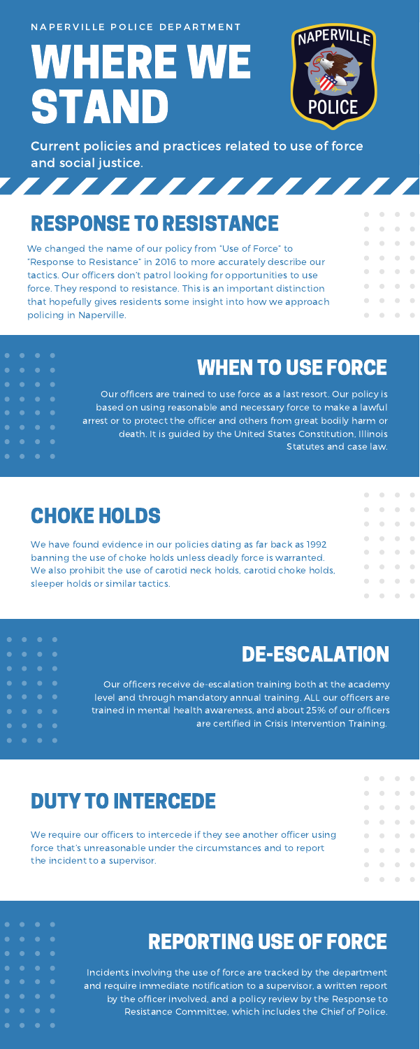NAPERVILLE POLICE DEPARTMENT

WHERE WE STAND



Current policies and practices related to use of force and social justice.

7777777777777

# RESPONSE TO RESISTANCE

We changed the name of our policy from "Use of Force" to "Response to Resistance" in 2016 to more accurately describe our tactics. Our officers don't patrol looking for opportunities to use force. They respond to resistance. This is an important distinction that hopefully gives residents some insight into how we approach policing in Naperville.

#### WHEN TO USE FORCE

Our officers are trained to use force as a last resort. Our policy is based on using reasonable and necessary force to make a lawful arrest or to protect the officer and others from great bodily harm or death. It is guided by the United States Constitution, Illinois Statutes and case law.

#### CHOKE HOLDS

 $\bullet$ 

 $\bullet$ 

 $\bullet$ 

We have found evidence in our policies dating as far back as 1992 banning the use of choke holds unless deadly force is warranted. We also prohibit the use of carotid neck holds, carotid choke holds, sleeper holds or similar tactics.

| 0          | $\overline{\phantom{a}}$ | $\sim$ 0                 | $\sim$ $\sim$            |
|------------|--------------------------|--------------------------|--------------------------|
| 0          | $\overline{\phantom{a}}$ | $\overline{\phantom{a}}$ | - 0                      |
| $\bigcirc$ | $\overline{\phantom{a}}$ | $\overline{\phantom{a}}$ | $\bigcirc$               |
| $\bigcirc$ | $\overline{\phantom{a}}$ | $\overline{\phantom{a}}$ | $\bigcirc$               |
| 0          | $\overline{\phantom{a}}$ | $\overline{\phantom{a}}$ | - 0                      |
| $\bigcirc$ | $\overline{\phantom{a}}$ | $\overline{\phantom{a}}$ | $\bigcirc$               |
| $\bigcirc$ | $\overline{\phantom{a}}$ | $\bigcirc$               | $\overline{\phantom{a}}$ |
| $\bigcirc$ | $\overline{\phantom{a}}$ | $\bigcirc$               | $\bigcirc$               |

 $\bigcirc$ 

 $\qquad \qquad \Box$ 

 $\bigcirc$  $\blacksquare$ 

 $\bigcirc$ 

 $\bigcirc$ 

 $\bigcirc$ 

 $\bigcirc$ 

 $\bigcirc$ 

 $\bigcirc$ 

 $\bigcirc$ 

 $\qquad \qquad \Box$ 

 $\bigcirc$ 

 $\bigcirc$ 

 $\bigcirc$ 

 $\bigcirc$ 

 $\bigcirc$ 

 $\bigcirc$ 

 $\bigcirc$ 

 $\bigcirc$ 

 $\Box$ 

 $\Box$ 

 $\bigcirc$ 

 $\bigcirc$ 

 $\bigcirc$ 

 $\bigcirc$ 

 $\bigcirc$ 

 $\hfill \square$ 

 $\hskip 10pt \bullet$ 

 $\begin{array}{c} \begin{array}{c} \begin{array}{c} \begin{array}{c} \end{array} \end{array} \end{array} \end{array} \end{array}$ 

 $\begin{array}{c} \hline \end{array}$ 

 $\overline{\phantom{a}}$ 

 $\bigcirc$ 

 $\bigcirc$ 

 $\bigcirc$ 

 $\bigcirc$ 

 $\bigcirc$ 

 $\qquad \qquad \Box$ 

 $\bigcirc$ 

 $\bigcirc$ 

 $\bigcirc$ 

 $\bigcirc$ 

 $\bigcirc$ 

 $\blacksquare$ 

 $\hskip 1.5cm \bullet$ 

 $\begin{array}{c} \hline \end{array}$ 

 $\begin{array}{c} \hline \end{array}$ 

### DE-ESCALATION

Our officers receive de-escalation training both at the academy level and through mandatory annual training. ALL our officers are trained in mental health awareness, and about 25% of our officers are certified in Crisis Intervention Training.

### DUTY TO INTERCEDE

We require our officers to intercede if they see another officer using force that's unreasonable under the circumstances and to report the incident to a supervisor.

# REPORTING USE OF FORCE

Incidents involving the use of force are tracked by the department and require immediate notification to a supervisor, a written report by the officer involved, and a policy review by the Response to Resistance Committee, which includes the Chief of Police.